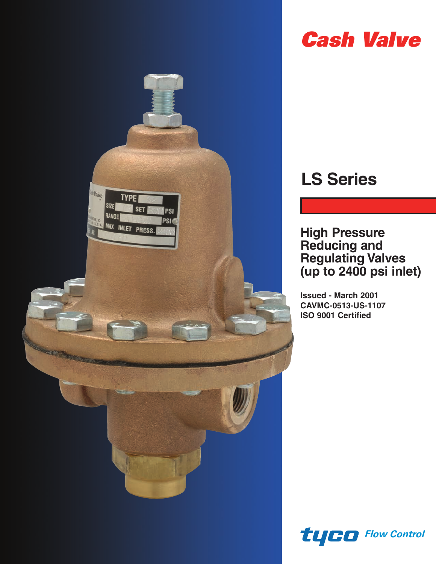

# *Cash Valve*

# **LS Series**

**High Pressure Reducing and Regulating Valves (up to 2400 psi inlet)**

**Issued - March 2001 CAVMC-0513-US-1107 ISO 9001 Certified**

*Flow Control*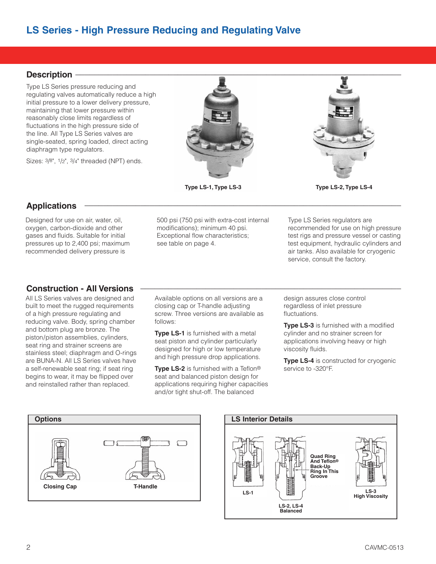# **Description \_\_\_\_\_\_\_\_\_\_\_\_\_\_\_\_\_\_\_\_\_\_\_\_\_\_\_\_\_\_\_\_\_\_\_\_\_\_\_\_\_\_\_\_\_\_\_\_\_\_\_\_\_\_\_\_\_\_\_\_\_\_\_\_\_\_\_\_\_\_**

Type LS Series pressure reducing and regulating valves automatically reduce a high initial pressure to a lower delivery pressure, maintaining that lower pressure within reasonably close limits regardless of fluctuations in the high pressure side of the line. All Type LS Series valves are single-seated, spring loaded, direct acting diaphragm type regulators.

Sizes: 3/8", 1/2", 3/4" threaded (NPT) ends.





**Type LS-1, Type LS-3 Type LS-2, Type LS-4**

# **Applications \_\_\_\_\_\_\_\_\_\_\_\_\_\_\_\_\_\_\_\_\_\_\_\_\_\_\_\_\_\_\_\_\_\_\_\_\_\_\_\_\_\_\_\_\_\_\_\_\_\_\_\_\_\_\_\_\_\_\_\_\_\_\_\_\_\_\_\_**

Designed for use on air, water, oil, oxygen, carbon-dioxide and other gases and fluids. Suitable for initial pressures up to 2,400 psi; maximum recommended delivery pressure is

# **Construction - All Versions \_\_\_\_\_\_\_\_\_\_\_\_\_\_\_\_\_\_\_\_\_\_\_\_\_\_\_\_\_\_\_\_\_\_\_\_\_\_\_\_\_\_\_\_\_\_\_\_\_\_\_\_\_\_\_\_**

All LS Series valves are designed and built to meet the rugged requirements of a high pressure regulating and reducing valve. Body, spring chamber and bottom plug are bronze. The piston/piston assemblies, cylinders, seat ring and strainer screens are stainless steel; diaphragm and O-rings are BUNA-N. All LS Series valves have a self-renewable seat ring; if seat ring begins to wear, it may be flipped over and reinstalled rather than replaced.

500 psi (750 psi with extra-cost internal modifications); minimum 40 psi. Exceptional flow characteristics; see table on page 4.

Type LS Series regulators are recommended for use on high pressure test rigs and pressure vessel or casting test equipment, hydraulic cylinders and air tanks. Also available for cryogenic service, consult the factory.

Available options on all versions are a closing cap or T-handle adjusting screw. Three versions are available as follows:

**Type LS-1** is furnished with a metal seat piston and cylinder particularly designed for high or low temperature and high pressure drop applications.

**Type LS-2** is furnished with a Teflon® seat and balanced piston design for applications requiring higher capacities and/or tight shut-off. The balanced

design assures close control regardless of inlet pressure fluctuations.

**Type LS-3** is furnished with a modified cylinder and no strainer screen for applications involving heavy or high viscosity fluids.

**Type LS-4** is constructed for cryogenic service to -320°F.



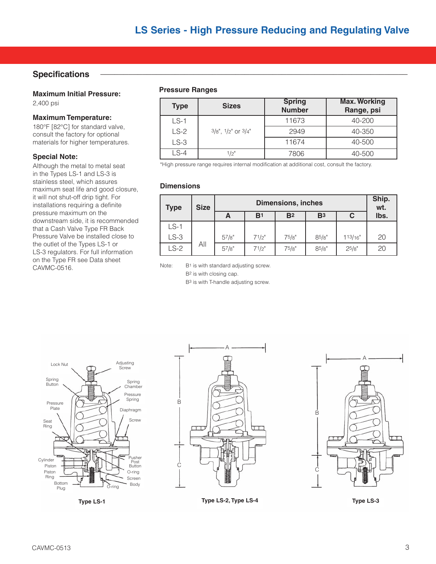### $S$  pecifications

**Maximum Initial Pressure:** 2,400 psi

#### **Maximum Temperature:**

180°F [82°C] for standard valve, consult the factory for optional materials for higher temperatures.

#### **Special Note:**

Although the metal to metal seat in the Types LS-1 and LS-3 is stainless steel, which assures maximum seat life and good closure, it will not shut-off drip tight. For installations requiring a definite pressure maximum on the downstream side, it is recommended that a Cash Valve Type FR Back Pressure Valve be installed close to the outlet of the Types LS-1 or LS-3 regulators. For full information on the Type FR see Data sheet CAVMC-0516.

#### **Pressure Ranges**

| <b>Type</b> | <b>Sizes</b>              | <b>Spring</b><br><b>Number</b> | <b>Max. Working</b><br>Range, psi |  |
|-------------|---------------------------|--------------------------------|-----------------------------------|--|
| $LS-1$      |                           | 11673                          | 40-200                            |  |
| $LS-2$      | $3/8"$ , $1/2"$ or $3/4"$ | 2949                           | 40-350                            |  |
| $LS-3$      |                           | 11674                          | 40-500                            |  |
| LS-4        | 1/2"                      | 7806                           | 40-500                            |  |

\*High pressure range requires internal modification at additional cost, consult the factory.

#### **Dimensions**

| <b>Type</b> | <b>Size</b> | <b>Dimensions, inches</b> |                |                |                |         | Ship.<br>wt. |
|-------------|-------------|---------------------------|----------------|----------------|----------------|---------|--------------|
|             |             | A                         | B <sup>1</sup> | B <sup>2</sup> | B <sub>3</sub> |         | lbs.         |
| $LS-1$      |             |                           |                |                |                |         |              |
| $LS-3$      |             | 57/8"                     | 71/2"          | 75/8"          | 85/8"          | 113/16" | 20           |
| $LS-2$      | All         | 57/8"                     | 71/2"          | 75/8"          | 85/8"          | 25/8"   | 20           |

Note: B1 is with standard adjusting screw.

B2 is with closing cap.

B3 is with T-handle adjusting screw.





**Type LS-1 Type LS-2, Type LS-4 Type LS-3**